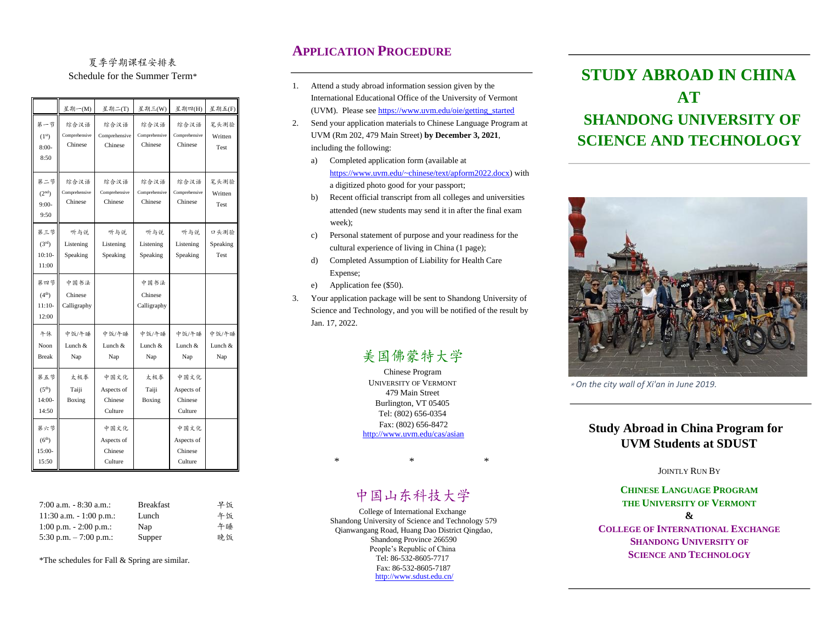### 夏季学期课程安排表 Schedule for the Summer Term\*

|                                                | 星期一(M)                           | 星期二(T)                                   | 星期三(W)                           | 星期四(H)                                   | 星期五(F)                   |
|------------------------------------------------|----------------------------------|------------------------------------------|----------------------------------|------------------------------------------|--------------------------|
| 第一节<br>(1 <sup>st</sup> )<br>$8:00-$<br>8:50   | 综合汉语<br>Comprehensive<br>Chinese | 综合汉语<br>Comprehensive<br>Chinese         | 综合汉语<br>Comprehensive<br>Chinese | 综合汉语<br>Comprehensive<br>Chinese         | 笔头测验<br>Written<br>Test  |
| 第二节<br>(2 <sup>nd</sup> )<br>$9:00-$<br>9:50   | 综合汉语<br>Comprehensive<br>Chinese | 综合汉语<br>Comprehensive<br>Chinese         | 综合汉语<br>Comprehensive<br>Chinese | 综合汉语<br>Comprehensive<br>Chinese         | 笔头测验<br>Written<br>Test  |
| 第三节<br>(3 <sup>rd</sup> )<br>$10:10-$<br>11:00 | 听与说<br>Listening<br>Speaking     | 听与说<br>Listening<br>Speaking             | 听与说<br>Listening<br>Speaking     | 听与说<br>Listening<br>Speaking             | 口头测验<br>Speaking<br>Test |
| 第四节<br>(4 <sup>th</sup> )<br>$11:10-$<br>12:00 | 中国书法<br>Chinese<br>Calligraphy   |                                          | 中国书法<br>Chinese<br>Calligraphy   |                                          |                          |
| 午休<br>Noon<br><b>Break</b>                     | 中饭/午睡<br>Lunch &<br>Nap          | 中饭/午睡<br>Lunch &<br>Nap                  | 中饭/午睡<br>Lunch &<br>Nap          | 中饭/午睡<br>Lunch &<br>Nap                  | 中饭/午睡<br>Lunch &<br>Nap  |
| 第五节<br>(5 <sup>th</sup> )<br>$14:00-$<br>14:50 | 太极奉<br>Taiji<br>Boxing           | 中国文化<br>Aspects of<br>Chinese<br>Culture | 太极拳<br>Taiji<br>Boxing           | 中国文化<br>Aspects of<br>Chinese<br>Culture |                          |
| 第六节<br>(6 <sup>th</sup> )<br>15:00-<br>15:50   |                                  | 中国文化<br>Aspects of<br>Chinese<br>Culture |                                  | 中国文化<br>Aspects of<br>Chinese<br>Culture |                          |

| $7:00$ a.m. $-8:30$ a.m.:  | <b>Breakfast</b> | 早饭 |
|----------------------------|------------------|----|
| $11:30$ a.m. $-1:00$ p.m.: | Lunch            | 午饭 |
| $1:00$ p.m. $-2:00$ p.m.:  | Nap              | 午睡 |
| 5:30 p.m. $-7:00$ p.m.:    | Supper           | 晚饭 |

\*The schedules for Fall & Spring are similar.

### **APPLICATION PROCEDURE**

- 1. Attend a study abroad information session given by the International Educational Office of the University of Vermont (UVM). Please see https://www.uvm.edu/oie/getting\_started
- 2. Send your application materials to Chinese Language Program at UVM (Rm 202, 479 Main Street) **by December 3, 2021**, including the following:
	- a) Completed application form (available at https://www.uvm.edu/~chinese/text/apform2022.docx) with a digitized photo good for your passport;
	- b) Recent official transcript from all colleges and universities attended (new students may send it in after the final exam week);
	- c) Personal statement of purpose and your readiness for the cultural experience of living in China (1 page);
	- d) Completed Assumption of Liability for Health Care Expense;
	- e) Application fee (\$50).
- 3. Your application package will be sent to Shandong University of Science and Technology, and you will be notified of the result by Jan. 17, 2022.

# 美国佛蒙特大学

Chinese Program UNIVERSITY OF VERMONT 479 Main Street Burlington, VT 05405 Tel: (802) 656-0354 Fax: (802) 656-8472 <http://www.uvm.edu/cas/asian>

 $*$   $*$   $*$ 

## 中国山东科技大学

College of International Exchange Shandong University of Science and Technology 579 Qianwangang Road, Huang Dao District Qingdao, Shandong Province 266590 People's Republic of China Tel: 86-532-8605-7717 Fax: 86-532-8605-7187 http://www.sdust.edu.cn/

# **STUDY ABROAD IN CHINA AT SHANDONG UNIVERSITY OF SCIENCE AND TECHNOLOGY**



\* *On the city wall of Xi'an in June 2019.* 

### **Study Abroad in China Program for UVM Students at SDUST**

#### JOINTLY RUN BY

### **CHINESE LANGUAGE PROGRAM THE UNIVERSITY OF VERMONT &**

**COLLEGE OF INTERNATIONAL EXCHANGE SHANDONG UNIVERSITY OF SCIENCE AND TECHNOLOGY**